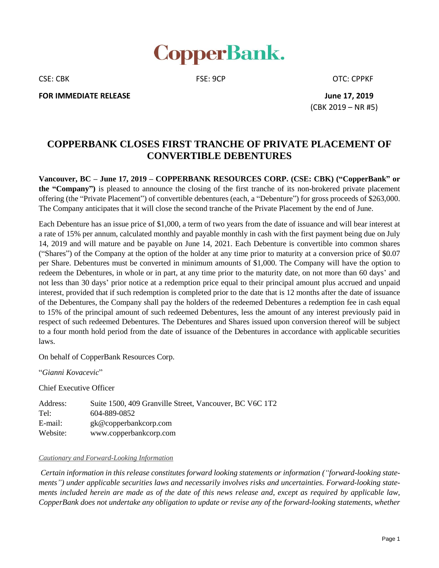

CSE: CBK CSE: 9CP CSE: 9CP CSE: CPPKF

**FOR IMMEDIATE RELEASE June 17, 2019**

(CBK 2019 – NR #5)

## **COPPERBANK CLOSES FIRST TRANCHE OF PRIVATE PLACEMENT OF CONVERTIBLE DEBENTURES**

**Vancouver, BC – June 17, 2019 – COPPERBANK RESOURCES CORP. (CSE: CBK) ("CopperBank" or the "Company")** is pleased to announce the closing of the first tranche of its non-brokered private placement offering (the "Private Placement") of convertible debentures (each, a "Debenture") for gross proceeds of \$263,000. The Company anticipates that it will close the second tranche of the Private Placement by the end of June.

Each Debenture has an issue price of \$1,000, a term of two years from the date of issuance and will bear interest at a rate of 15% per annum, calculated monthly and payable monthly in cash with the first payment being due on July 14, 2019 and will mature and be payable on June 14, 2021. Each Debenture is convertible into common shares ("Shares") of the Company at the option of the holder at any time prior to maturity at a conversion price of \$0.07 per Share. Debentures must be converted in minimum amounts of \$1,000. The Company will have the option to redeem the Debentures, in whole or in part, at any time prior to the maturity date, on not more than 60 days' and not less than 30 days' prior notice at a redemption price equal to their principal amount plus accrued and unpaid interest, provided that if such redemption is completed prior to the date that is 12 months after the date of issuance of the Debentures, the Company shall pay the holders of the redeemed Debentures a redemption fee in cash equal to 15% of the principal amount of such redeemed Debentures, less the amount of any interest previously paid in respect of such redeemed Debentures. The Debentures and Shares issued upon conversion thereof will be subject to a four month hold period from the date of issuance of the Debentures in accordance with applicable securities laws.

On behalf of CopperBank Resources Corp.

"*Gianni Kovacevic*"

Chief Executive Officer

| Address: | Suite 1500, 409 Granville Street, Vancouver, BC V6C 1T2 |
|----------|---------------------------------------------------------|
| Tel:     | 604-889-0852                                            |
| E-mail:  | gk@copperbankcorp.com                                   |
| Website: | www.copperbankcorp.com                                  |

## *Cautionary and Forward-Looking Information*

*Certain information in this release constitutes forward looking statements or information ("forward-looking statements") under applicable securities laws and necessarily involves risks and uncertainties. Forward-looking state*ments included herein are made as of the date of this news release and, except as required by applicable law, *CopperBank does not undertake any obligation to update or revise any of the forward-looking statements, whether*